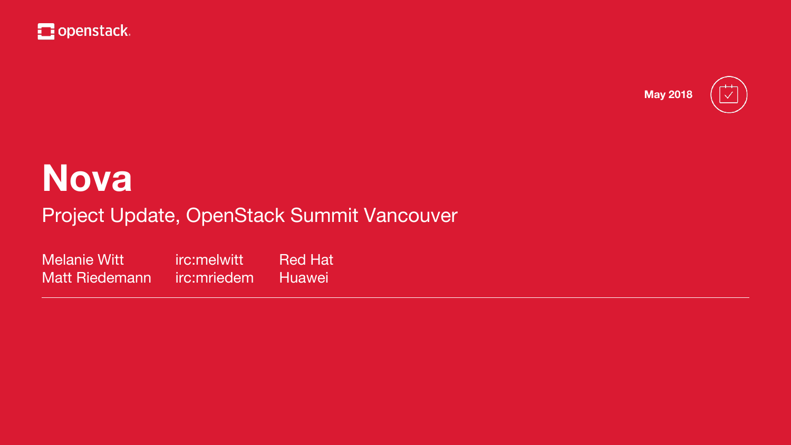

### **Nova** Project Update, OpenStack Summit Vancouver

Melanie Witt irc:melwitt Red Hat Matt Riedemann irc:mriedem Huawei





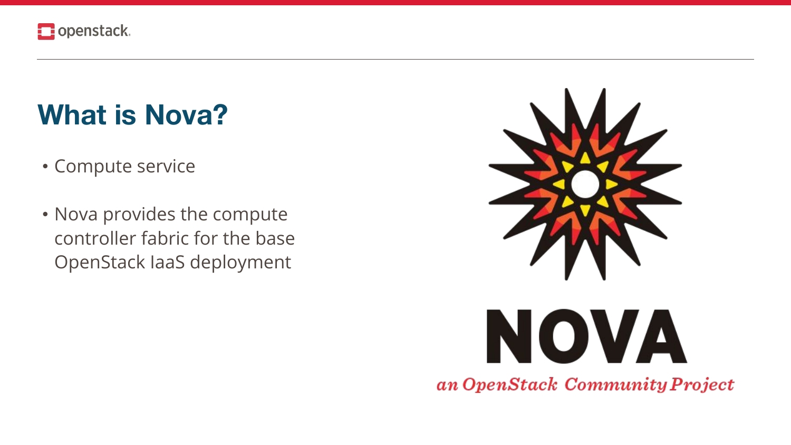

### What is Nova?

- Compute service
- Nova provides the compute controller fabric for the base OpenStack laaS deployment



# NOVA an OpenStack Community Project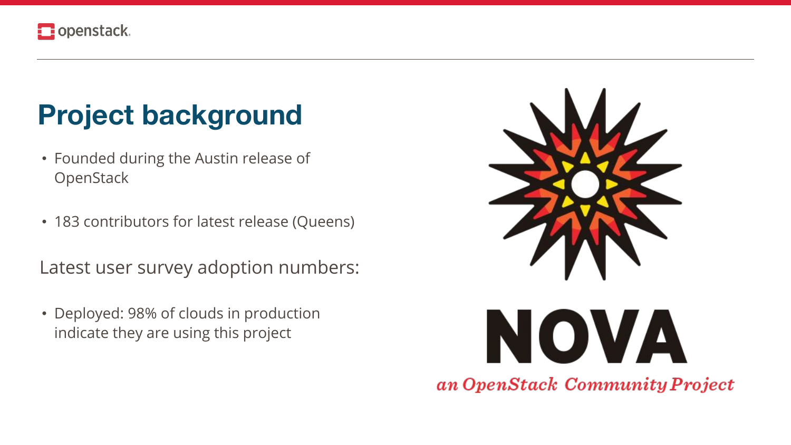

### Project background

- Founded during the Austin release of OpenStack
- 183 contributors for latest release (Queens)

Latest user survey adoption numbers:

• Deployed: 98% of clouds in production indicate they are using this project



# NOVA an OpenStack Community Project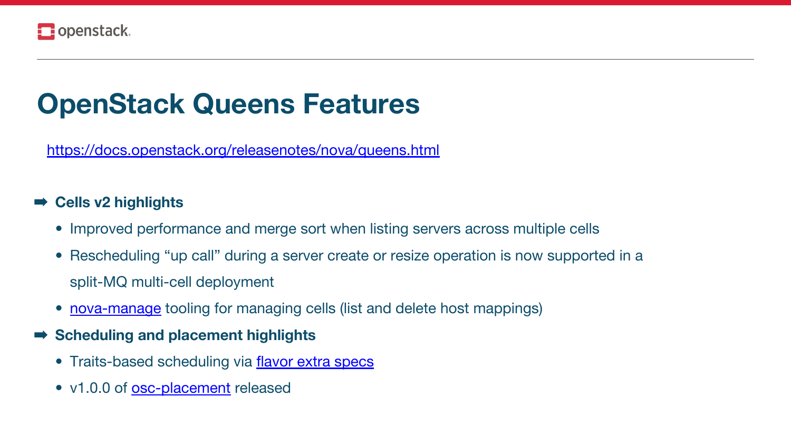<https://docs.openstack.org/releasenotes/nova/queens.html>

### ➡ **Cells v2 highlights**

- Improved performance and merge sort when listing servers across multiple cells
- Rescheduling "up call" during a server create or resize operation is now supported in a split-MQ multi-cell deployment
- [nova-manage](https://docs.openstack.org/nova/queens/cli/nova-manage.html#nova-cells-v2) tooling for managing cells (list and delete host mappings)
- ➡ **Scheduling and placement highlights**
	- **•** Traits-based scheduling via [flavor extra specs](https://docs.openstack.org/nova/queens/user/flavors.html#extra-specs)
	- v1.0.0 of **osc-placement** released



## **OpenStack Queens Features**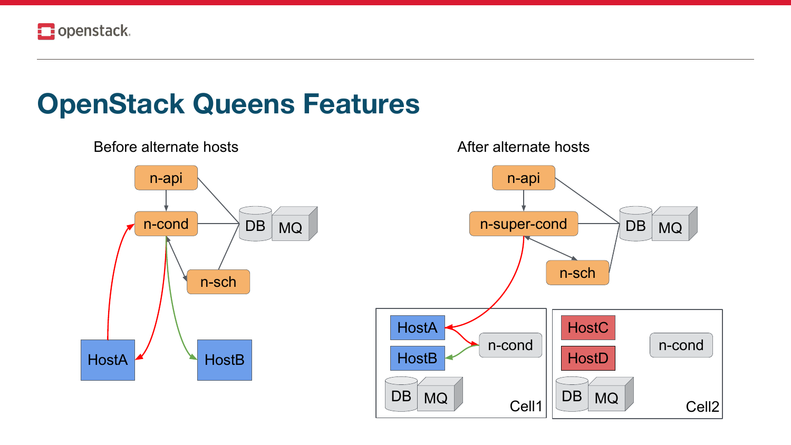

### **OpenStack Queens Features**

### Before alternate hosts



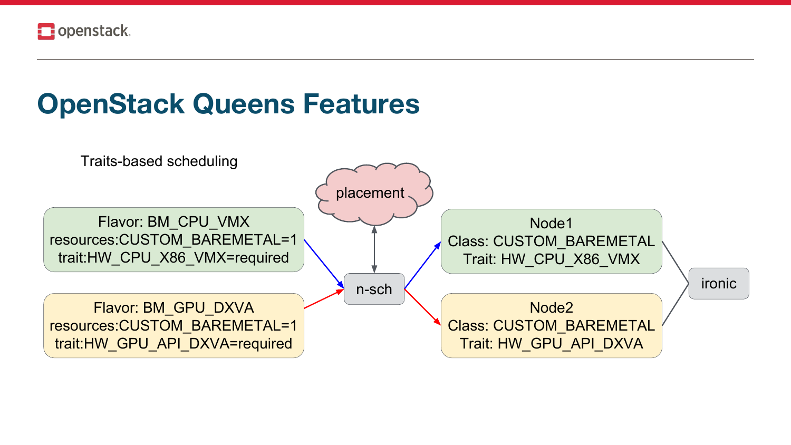

### OpenStack Queens Features

**Traits-based scheduling** 

Flavor: BM\_CPU\_VMX resources:CUSTOM\_BAREMETAL=1 trait:HW\_CPU\_X86\_VMX=required

Flavor: BM\_GPU\_DXVA resources:CUSTOM BAREMETAL=1 trait:HW\_GPU\_API\_DXVA=required

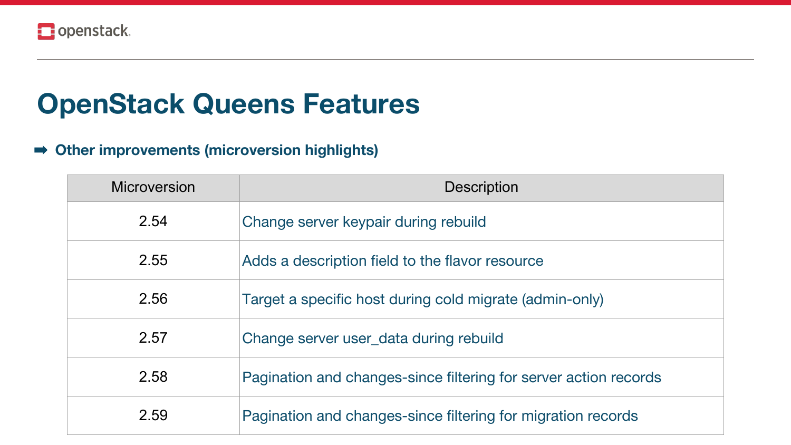### ➡ **Other improvements (microversion highlights)**

| <b>Microversion</b> |                           |
|---------------------|---------------------------|
| 2.54                | Change server keyp        |
| 2.55                | Adds a description        |
| 2.56                | Target a specific ho      |
| 2.57                | <b>Change server user</b> |
| 2.58                | <b>Pagination and cha</b> |
| 2.59                | Pagination and cha        |

Description

- pair during rebuild
- field to the flavor resource
- ost during cold migrate (admin-only)
- r\_data during rebuild
- anges-since filtering for server action records
- anges-since filtering for migration records



## **OpenStack Queens Features**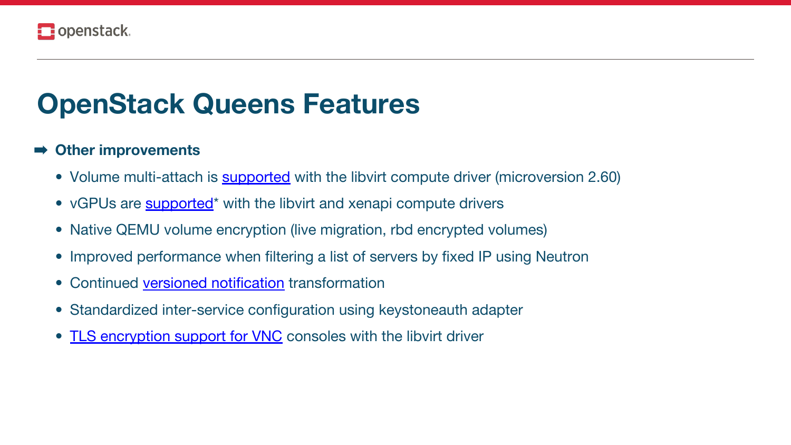### ➡ **Other improvements**

- Volume multi-attach is [supported](https://docs.openstack.org/nova/queens/admin/manage-volumes.html#volume-multi-attach) with the libvirt compute driver (microversion 2.60)
- vGPUs are **supported**<sup>\*</sup> with the libvirt and xenapi compute drivers
- Native QEMU volume encryption (live migration, rbd encrypted volumes)
- Improved performance when filtering a list of servers by fixed IP using Neutron
- Continued [versioned notification](https://docs.openstack.org/nova/queens/reference/notifications.html#versioned-notification-samples) transformation
- Standardized inter-service configuration using keystoneauth adapter
- [TLS encryption support for VNC](https://docs.openstack.org/nova/queens/admin/remote-console-access.html#vnc-proxy-security) consoles with the libvirt driver



## **OpenStack Queens Features**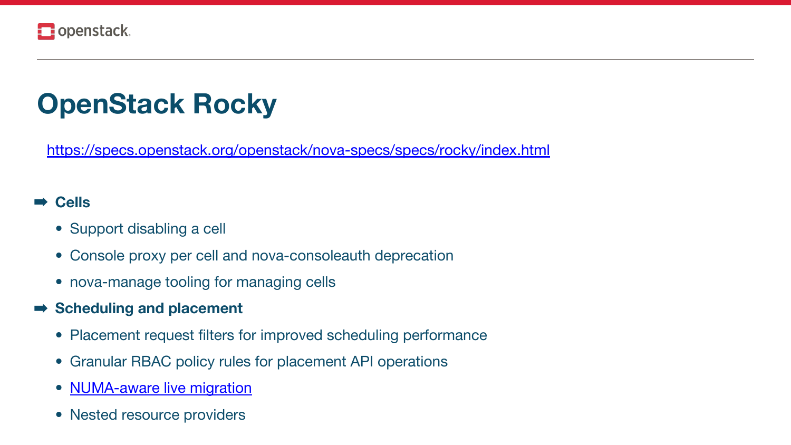<https://specs.openstack.org/openstack/nova-specs/specs/rocky/index.html>



- Support disabling a cell
- Console proxy per cell and nova-consoleauth deprecation
- nova-manage tooling for managing cells
- ➡ **Scheduling and placement**
	- Placement request filters for improved scheduling performance
	- Granular RBAC policy rules for placement API operations
	- [NUMA-aware live migration](https://specs.openstack.org/openstack/nova-specs/specs/rocky/approved/numa-aware-live-migration.html)
	- Nested resource providers



## **OpenStack Rocky**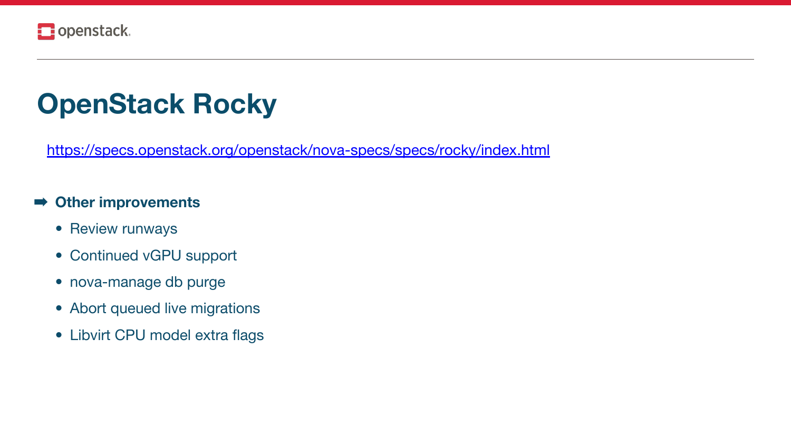<https://specs.openstack.org/openstack/nova-specs/specs/rocky/index.html>

### ➡ **Other improvements**

- Review runways
- Continued vGPU support
- nova-manage db purge
- Abort queued live migrations
- Libvirt CPU model extra flags



## **OpenStack Rocky**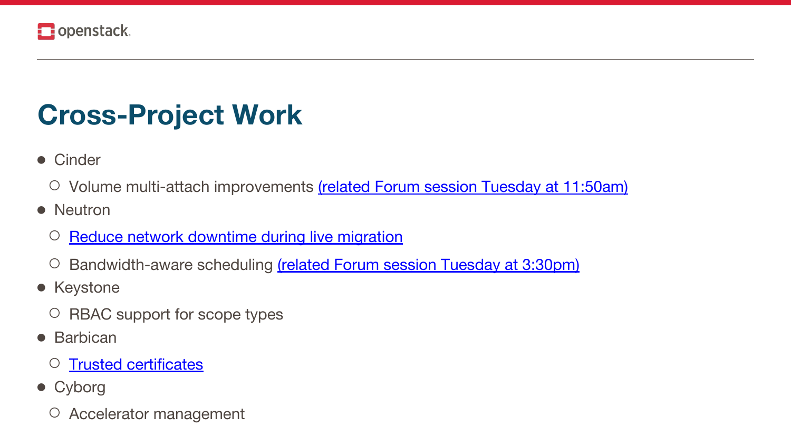

## **Cross-Project Work**

- Cinder
	- Volume multi-attach improvements [\(related Forum session Tuesday at 11:50am\)](https://www.openstack.org/summit/vancouver-2018/summit-schedule/events/21732/multi-attach-introduction-and-future-direction)
- Neutron
	- [Reduce network downtime during live migration](https://specs.openstack.org/openstack/nova-specs/specs/rocky/approved/neutron-new-port-binding-api.html)
	- Bandwidth-aware scheduling [\(related Forum session Tuesday at 3:30pm\)](https://www.openstack.org/summit/vancouver-2018/summit-schedule/events/21754/novaneutron-ops-cross-project-session)
- Keystone
	- RBAC support for scope types
- Barbican
	- [Trusted certificates](https://specs.openstack.org/openstack/nova-specs/specs/rocky/approved/nova-validate-certificates.html)
- Cyborg
	- Accelerator management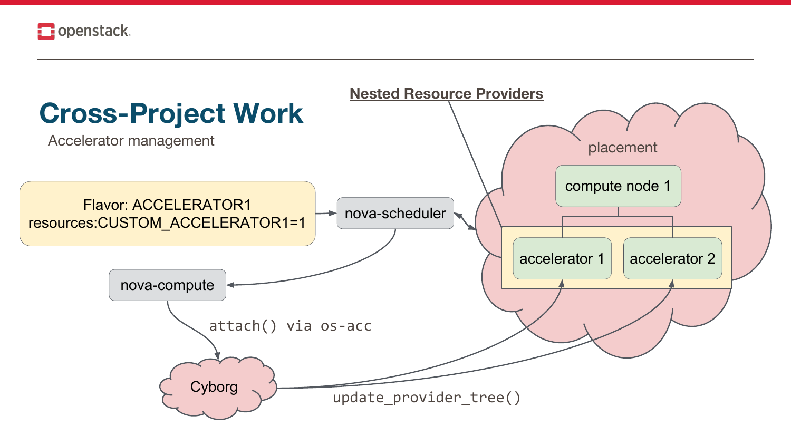



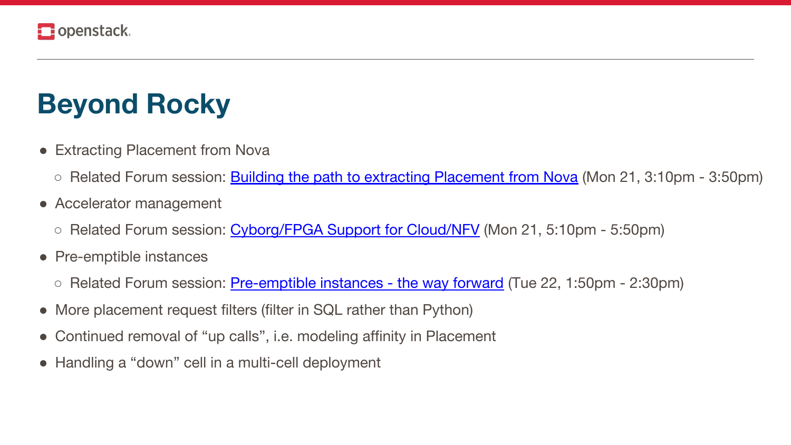

### **Beyond Rocky**

- Extracting Placement from Nova
	-
- Accelerator management
	- Related Forum session: Cyborg/FPGA Support for Cloud/NFV (Mon 21, 5:10pm 5:50pm)
- Pre-emptible instances
	- Related Forum session: Pre-emptible instances the way forward (Tue 22, 1:50pm 2:30pm)
- More placement request filters (filter in SQL rather than Python)
- Continued removal of "up calls", i.e. modeling affinity in Placement  $\bullet$
- Handling a "down" cell in a multi-cell deployment

○ Related Forum session: **Building the path to extracting Placement from Nova** (Mon 21, 3:10pm - 3:50pm)

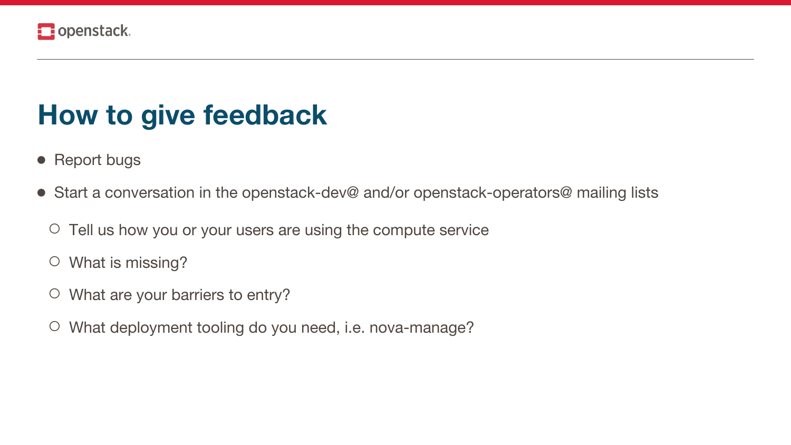

### **How to give feedback**

- Report bugs
- Start a conversation in the openstack-dev@ and/or openstack-operators@ mailing lists
	- Tell us how you or your users are using the compute service
	- What is missing?
	- What are your barriers to entry?
	- What deployment tooling do you need, i.e. nova-manage?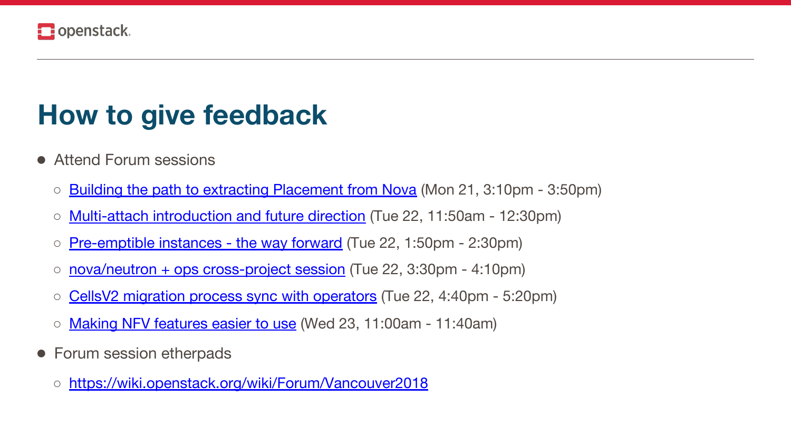

### **How to give feedback**

- Attend Forum sessions
	- **Building the path to extracting Placement from Nova** (Mon 21, 3:10pm 3:50pm)
	- [Multi-attach introduction and future direction](https://www.openstack.org/summit/vancouver-2018/summit-schedule/events/21732/multi-attach-introduction-and-future-direction) (Tue 22, 11:50am 12:30pm)
	- [Pre-emptible instances the way forward](https://www.openstack.org/summit/vancouver-2018/summit-schedule/events/21787/pre-emptible-instances-the-way-forward) (Tue 22, 1:50pm 2:30pm)
	- [nova/neutron + ops cross-project session](https://www.openstack.org/summit/vancouver-2018/summit-schedule/events/21754/novaneutron-ops-cross-project-session) (Tue 22, 3:30pm 4:10pm)
	- [CellsV2 migration process sync with operators](https://www.openstack.org/summit/vancouver-2018/summit-schedule/events/21755/cellsv2-migration-process-sync-with-operators) (Tue 22, 4:40pm 5:20pm)
	- [Making NFV features easier to use](https://www.openstack.org/summit/vancouver-2018/summit-schedule/events/21776/making-nfv-features-easier-to-use) (Wed 23, 11:00am 11:40am)
- Forum session etherpads
	- <https://wiki.openstack.org/wiki/Forum/Vancouver2018>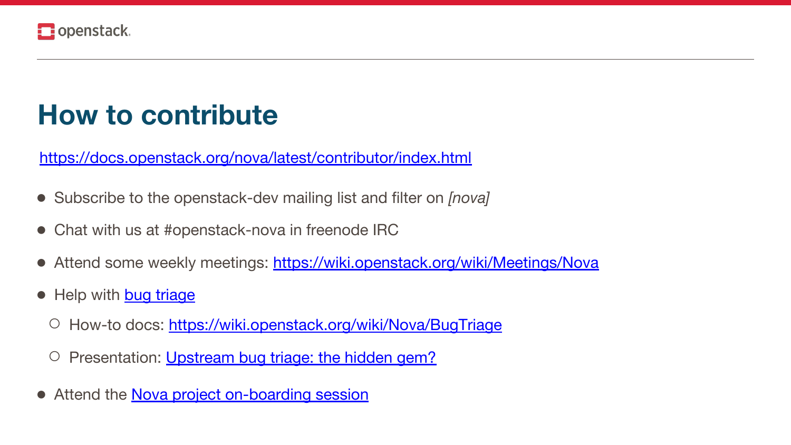

### **How to contribute**

- Subscribe to the openstack-dev mailing list and filter on *[nova]*
- Chat with us at #openstack-nova in freenode IRC
- Attend some weekly meetings: <https://wiki.openstack.org/wiki/Meetings/Nova>
- Help with [bug triage](https://bugs.launchpad.net/nova/?field.searchtext=&field.status%3Alist=NEW&assignee_option=any&field.assignee=&field.bug_reporter=&field.bug_commenter=&field.subscriber=&field.structural_subscriber=&field.tag=&field.tags_combinator=ANY&field.has_cve.used=&field.omit_dupes.used=&field.omit_dupes=on&field.affects_me.used=&field.has_patch.used=&field.has_branches.used=&field.has_no_branches.used=&field.has_blueprints.used=&field.has_no_blueprints.used=&search=Search&orderby=-datecreated&start=0)
	- How-to docs: <https://wiki.openstack.org/wiki/Nova/BugTriage>
	- Presentation: [Upstream bug triage: the hidden gem?](https://www.openstack.org/videos/sydney-2017/upstream-bug-triage-the-hidden-gem)
- Attend the [Nova project on-boarding session](https://www.openstack.org/summit/vancouver-2018/summit-schedule/events/21641/nova-project-onboarding)

<https://docs.openstack.org/nova/latest/contributor/index.html>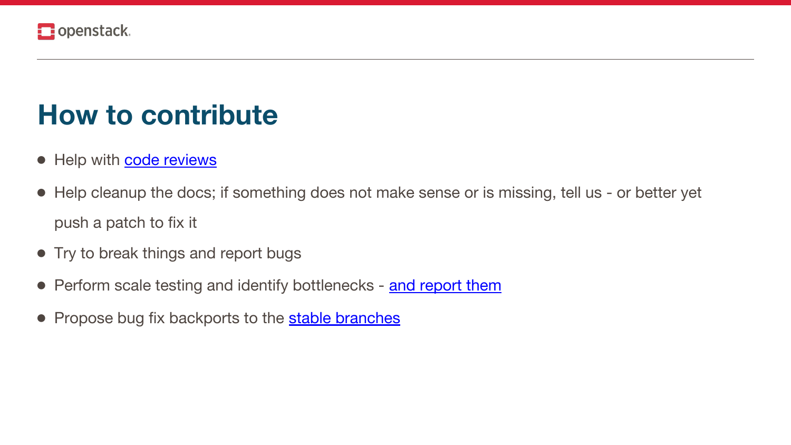

### **How to contribute**

- Help with [code reviews](https://review.openstack.org/#/dashboard/?foreach=%28+project%3Aopenstack%2Fnova+OR%0Aproject%3Aopenstack%2Fpython%2Dnovaclient+OR%0Aproject%3Aopenstack%2Fnova%2Dspecs+OR%0Aproject%3Aopenstack%2Fos%2Dvif+OR%0Aproject%3Aopenstack%2Fos%2Dtraits+%29%0Astatus%3Aopen%0ANOT+owner%3Aself%0ANOT+label%3AWorkflow%3C%3D%2D1%0Alabel%3AVerified%3E%3D1%2Czuul%0ANOT+reviewedby%3Aself%0Abranch%3Amaster&title=Nova+Review+Inbox&Small+patches=%28project%3Aopenstack%2Fnova+OR+project%3Aopenstack%2Fpython%2Dnovaclient+OR+project%3Aopenstack%2Fos%2Dvif+OR+project%3Aopenstack%2Fos%2Dtraits%29+NOT+label%3ACode%2DReview%3E%3D2%2Cself+NOT+label%3ACode%2DReview%3C%3D%2D1%2Cnova%2Dcore+NOT+message%3A%22DNM%22+delta%3A%3C%3D10&Needs+final+%2B2=%28project%3Aopenstack%2Fnova+OR+project%3Aopenstack%2Fpython%2Dnovaclient+OR+project%3Aopenstack%2Fos%2Dvif+OR+project%3Aopenstack%2Fos%2Dtraits%29+NOT+label%3ACode%2DReview%3E%3D2%2Cself+label%3ACode%2DReview%3E%3D2+limit%3A50&Bug+fix%2C+Passed+Zuul%2C+No+Negative+Feedback=NOT+label%3ACode%2DReview%3E%3D2%2Cself+NOT+label%3ACode%2DReview%3C%3D%2D1%2Cnova%2Dcore+message%3A%22bug%3A+%22+limit%3A50&Wayward+Changes+%28Changes+with+no+code+review+in+the+last+two+days%29=NOT+label%3ACode%2DReview%3C%3D%2D1+NOT+label%3ACode%2DReview%3E%3D1+age%3A2d+limit%3A50&Needs+feedback+%28Changes+older+than+5+days+that+have+not+been+reviewed+by+anyone%29=NOT+label%3ACode%2DReview%3C%3D%2D1+NOT+label%3ACode%2DReview%3E%3D1+age%3A5d+limit%3A50&Passed+Zuul%2C+No+Negative+Feedback=NOT+label%3ACode%2DReview%3E%3D2+NOT+label%3ACode%2DReview%3C%3D%2D1+limit%3A50&Needs+revisit+%28You+were+a+reviewer+but+haven%27t+voted+in+the+current+revision%29=reviewer%3Aself+limit%3A50&Specs=project%3Aopenstack%2Fnova%2Dspecs+status%3Aopen+limit%3A20)
- Help cleanup the docs; if something does not make sense or is missing, tell us or better yet push a patch to fix it
- Try to break things and report bugs
- Perform scale testing and identify bottlenecks [and report them](https://bugs.launchpad.net/nova/+filebug)
- Propose bug fix backports to the **[stable branches](https://docs.openstack.org/project-team-guide/stable-branches.html)**